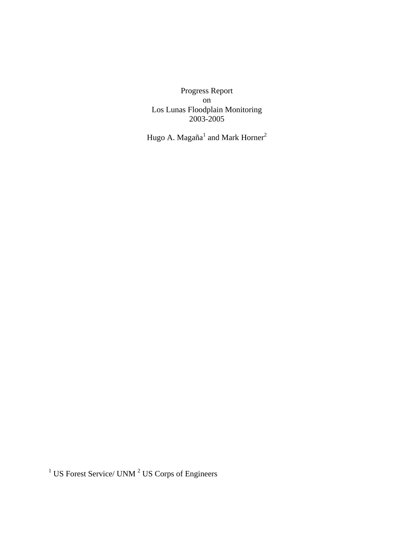Progress Report on Los Lunas Floodplain Monitoring 2003-2005

Hugo A. Magaña<sup>1</sup> and Mark Horner<sup>2</sup>

 $1$  US Forest Service/ UNM  $2$  US Corps of Engineers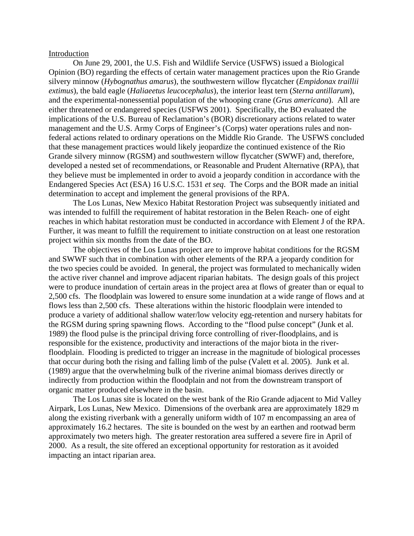#### Introduction

On June 29, 2001, the U.S. Fish and Wildlife Service (USFWS) issued a Biological Opinion (BO) regarding the effects of certain water management practices upon the Rio Grande silvery minnow (*Hybognathus amarus*), the southwestern willow flycatcher (*Empidonax traillii extimus*), the bald eagle (*Haliaeetus leucocephalus*), the interior least tern (*Sterna antillarum*), and the experimental-nonessential population of the whooping crane (*Grus americana*). All are either threatened or endangered species (USFWS 2001). Specifically, the BO evaluated the implications of the U.S. Bureau of Reclamation's (BOR) discretionary actions related to water management and the U.S. Army Corps of Engineer's (Corps) water operations rules and nonfederal actions related to ordinary operations on the Middle Rio Grande. The USFWS concluded that these management practices would likely jeopardize the continued existence of the Rio Grande silvery minnow (RGSM) and southwestern willow flycatcher (SWWF) and, therefore, developed a nested set of recommendations, or Reasonable and Prudent Alternative (RPA), that they believe must be implemented in order to avoid a jeopardy condition in accordance with the Endangered Species Act (ESA) 16 U.S.C. 1531 *et seq*. The Corps and the BOR made an initial determination to accept and implement the general provisions of the RPA.

The Los Lunas, New Mexico Habitat Restoration Project was subsequently initiated and was intended to fulfill the requirement of habitat restoration in the Belen Reach- one of eight reaches in which habitat restoration must be conducted in accordance with Element J of the RPA. Further, it was meant to fulfill the requirement to initiate construction on at least one restoration project within six months from the date of the BO.

 The objectives of the Los Lunas project are to improve habitat conditions for the RGSM and SWWF such that in combination with other elements of the RPA a jeopardy condition for the two species could be avoided. In general, the project was formulated to mechanically widen the active river channel and improve adjacent riparian habitats. The design goals of this project were to produce inundation of certain areas in the project area at flows of greater than or equal to 2,500 cfs. The floodplain was lowered to ensure some inundation at a wide range of flows and at flows less than 2,500 cfs. These alterations within the historic floodplain were intended to produce a variety of additional shallow water/low velocity egg-retention and nursery habitats for the RGSM during spring spawning flows. According to the "flood pulse concept" (Junk et al. 1989) the flood pulse is the principal driving force controlling of river-floodplains, and is responsible for the existence, productivity and interactions of the major biota in the riverfloodplain. Flooding is predicted to trigger an increase in the magnitude of biological processes that occur during both the rising and falling limb of the pulse (Valett et al. 2005). Junk et al. (1989) argue that the overwhelming bulk of the riverine animal biomass derives directly or indirectly from production within the floodplain and not from the downstream transport of organic matter produced elsewhere in the basin.

The Los Lunas site is located on the west bank of the Rio Grande adjacent to Mid Valley Airpark, Los Lunas, New Mexico. Dimensions of the overbank area are approximately 1829 m along the existing riverbank with a generally uniform width of 107 m encompassing an area of approximately 16.2 hectares. The site is bounded on the west by an earthen and rootwad berm approximately two meters high. The greater restoration area suffered a severe fire in April of 2000. As a result, the site offered an exceptional opportunity for restoration as it avoided impacting an intact riparian area.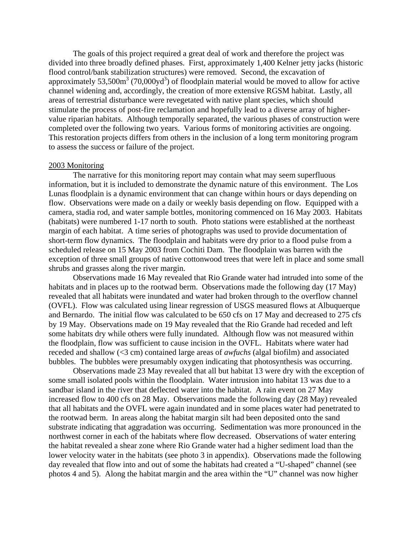The goals of this project required a great deal of work and therefore the project was divided into three broadly defined phases. First, approximately 1,400 Kelner jetty jacks (historic flood control/bank stabilization structures) were removed. Second, the excavation of approximately  $53,500m^3$  (70,000yd<sup>3</sup>) of floodplain material would be moved to allow for active channel widening and, accordingly, the creation of more extensive RGSM habitat. Lastly, all areas of terrestrial disturbance were revegetated with native plant species, which should stimulate the process of post-fire reclamation and hopefully lead to a diverse array of highervalue riparian habitats. Although temporally separated, the various phases of construction were completed over the following two years. Various forms of monitoring activities are ongoing. This restoration projects differs from others in the inclusion of a long term monitoring program to assess the success or failure of the project.

#### 2003 Monitoring

The narrative for this monitoring report may contain what may seem superfluous information, but it is included to demonstrate the dynamic nature of this environment. The Los Lunas floodplain is a dynamic environment that can change within hours or days depending on flow. Observations were made on a daily or weekly basis depending on flow. Equipped with a camera, stadia rod, and water sample bottles, monitoring commenced on 16 May 2003. Habitats (habitats) were numbered 1-17 north to south. Photo stations were established at the northeast margin of each habitat. A time series of photographs was used to provide documentation of short-term flow dynamics. The floodplain and habitats were dry prior to a flood pulse from a scheduled release on 15 May 2003 from Cochiti Dam. The floodplain was barren with the exception of three small groups of native cottonwood trees that were left in place and some small shrubs and grasses along the river margin.

Observations made 16 May revealed that Rio Grande water had intruded into some of the habitats and in places up to the rootwad berm. Observations made the following day (17 May) revealed that all habitats were inundated and water had broken through to the overflow channel (OVFL). Flow was calculated using linear regression of USGS measured flows at Albuquerque and Bernardo. The initial flow was calculated to be 650 cfs on 17 May and decreased to 275 cfs by 19 May. Observations made on 19 May revealed that the Rio Grande had receded and left some habitats dry while others were fully inundated. Although flow was not measured within the floodplain, flow was sufficient to cause incision in the OVFL. Habitats where water had receded and shallow (<3 cm) contained large areas of *awfuchs* (algal biofilm) and associated bubbles. The bubbles were presumably oxygen indicating that photosynthesis was occurring.

Observations made 23 May revealed that all but habitat 13 were dry with the exception of some small isolated pools within the floodplain. Water intrusion into habitat 13 was due to a sandbar island in the river that deflected water into the habitat. A rain event on 27 May increased flow to 400 cfs on 28 May. Observations made the following day (28 May) revealed that all habitats and the OVFL were again inundated and in some places water had penetrated to the rootwad berm. In areas along the habitat margin silt had been deposited onto the sand substrate indicating that aggradation was occurring. Sedimentation was more pronounced in the northwest corner in each of the habitats where flow decreased. Observations of water entering the habitat revealed a shear zone where Rio Grande water had a higher sediment load than the lower velocity water in the habitats (see photo 3 in appendix). Observations made the following day revealed that flow into and out of some the habitats had created a "U-shaped" channel (see photos 4 and 5). Along the habitat margin and the area within the "U" channel was now higher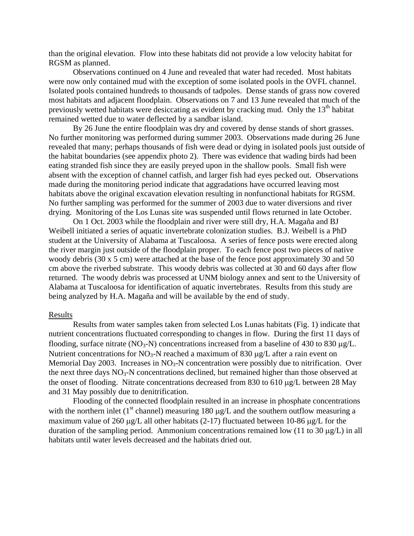than the original elevation. Flow into these habitats did not provide a low velocity habitat for RGSM as planned.

Observations continued on 4 June and revealed that water had receded. Most habitats were now only contained mud with the exception of some isolated pools in the OVFL channel. Isolated pools contained hundreds to thousands of tadpoles. Dense stands of grass now covered most habitats and adjacent floodplain. Observations on 7 and 13 June revealed that much of the previously wetted habitats were desiccating as evident by cracking mud. Only the  $13<sup>th</sup>$  habitat remained wetted due to water deflected by a sandbar island.

By 26 June the entire floodplain was dry and covered by dense stands of short grasses. No further monitoring was performed during summer 2003. Observations made during 26 June revealed that many; perhaps thousands of fish were dead or dying in isolated pools just outside of the habitat boundaries (see appendix photo 2). There was evidence that wading birds had been eating stranded fish since they are easily preyed upon in the shallow pools. Small fish were absent with the exception of channel catfish, and larger fish had eyes pecked out. Observations made during the monitoring period indicate that aggradations have occurred leaving most habitats above the original excavation elevation resulting in nonfunctional habitats for RGSM. No further sampling was performed for the summer of 2003 due to water diversions and river drying. Monitoring of the Los Lunas site was suspended until flows returned in late October.

On 1 Oct. 2003 while the floodplain and river were still dry, H.A. Magaña and BJ Weibell initiated a series of aquatic invertebrate colonization studies. B.J. Weibell is a PhD student at the University of Alabama at Tuscaloosa. A series of fence posts were erected along the river margin just outside of the floodplain proper. To each fence post two pieces of native woody debris (30 x 5 cm) were attached at the base of the fence post approximately 30 and 50 cm above the riverbed substrate. This woody debris was collected at 30 and 60 days after flow returned. The woody debris was processed at UNM biology annex and sent to the University of Alabama at Tuscaloosa for identification of aquatic invertebrates. Results from this study are being analyzed by H.A. Magaña and will be available by the end of study.

#### Results

Results from water samples taken from selected Los Lunas habitats (Fig. 1) indicate that nutrient concentrations fluctuated corresponding to changes in flow. During the first 11 days of flooding, surface nitrate (NO<sub>3</sub>-N) concentrations increased from a baseline of 430 to 830  $\mu$ g/L. Nutrient concentrations for NO<sub>3</sub>-N reached a maximum of 830  $\mu$ g/L after a rain event on Memorial Day 2003. Increases in  $NO<sub>3</sub>-N$  concentration were possibly due to nitrification. Over the next three days  $NO<sub>3</sub>-N$  concentrations declined, but remained higher than those observed at the onset of flooding. Nitrate concentrations decreased from 830 to 610 μg/L between 28 May and 31 May possibly due to denitrification.

Flooding of the connected floodplain resulted in an increase in phosphate concentrations with the northern inlet ( $1<sup>st</sup>$  channel) measuring 180  $\mu$ g/L and the southern outflow measuring a maximum value of 260 μg/L all other habitats (2-17) fluctuated between 10-86 μg/L for the duration of the sampling period. Ammonium concentrations remained low (11 to 30 μg/L) in all habitats until water levels decreased and the habitats dried out.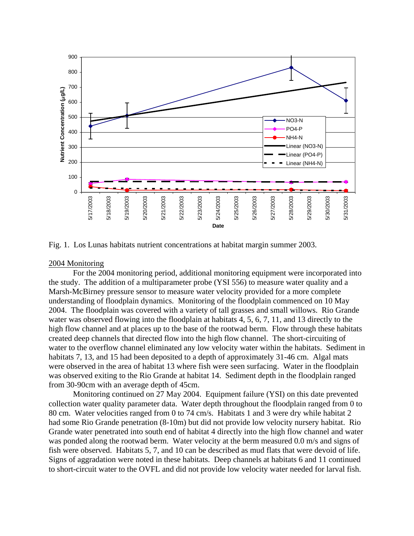

Fig. 1. Los Lunas habitats nutrient concentrations at habitat margin summer 2003.

## 2004 Monitoring

 For the 2004 monitoring period, additional monitoring equipment were incorporated into the study. The addition of a multiparameter probe (YSI 556) to measure water quality and a Marsh-McBirney pressure sensor to measure water velocity provided for a more complete understanding of floodplain dynamics. Monitoring of the floodplain commenced on 10 May 2004. The floodplain was covered with a variety of tall grasses and small willows. Rio Grande water was observed flowing into the floodplain at habitats 4, 5, 6, 7, 11, and 13 directly to the high flow channel and at places up to the base of the rootwad berm. Flow through these habitats created deep channels that directed flow into the high flow channel. The short-circuiting of water to the overflow channel eliminated any low velocity water within the habitats. Sediment in habitats 7, 13, and 15 had been deposited to a depth of approximately 31-46 cm. Algal mats were observed in the area of habitat 13 where fish were seen surfacing. Water in the floodplain was observed exiting to the Rio Grande at habitat 14. Sediment depth in the floodplain ranged from 30-90cm with an average depth of 45cm.

Monitoring continued on 27 May 2004. Equipment failure (YSI) on this date prevented collection water quality parameter data. Water depth throughout the floodplain ranged from 0 to 80 cm. Water velocities ranged from 0 to 74 cm/s. Habitats 1 and 3 were dry while habitat 2 had some Rio Grande penetration (8-10m) but did not provide low velocity nursery habitat. Rio Grande water penetrated into south end of habitat 4 directly into the high flow channel and water was ponded along the rootwad berm. Water velocity at the berm measured 0.0 m/s and signs of fish were observed. Habitats 5, 7, and 10 can be described as mud flats that were devoid of life. Signs of aggradation were noted in these habitats. Deep channels at habitats 6 and 11 continued to short-circuit water to the OVFL and did not provide low velocity water needed for larval fish.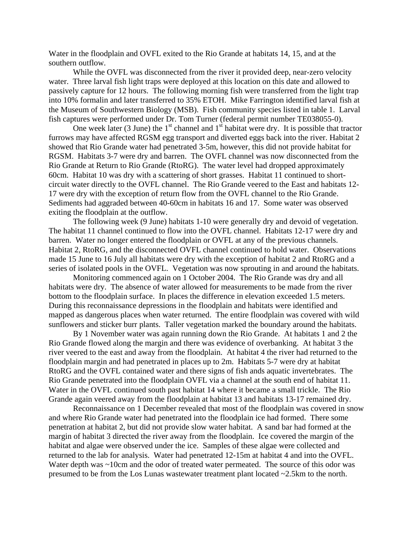Water in the floodplain and OVFL exited to the Rio Grande at habitats 14, 15, and at the southern outflow.

While the OVFL was disconnected from the river it provided deep, near-zero velocity water. Three larval fish light traps were deployed at this location on this date and allowed to passively capture for 12 hours. The following morning fish were transferred from the light trap into 10% formalin and later transferred to 35% ETOH. Mike Farrington identified larval fish at the Museum of Southwestern Biology (MSB). Fish community species listed in table 1. Larval fish captures were performed under Dr. Tom Turner (federal permit number TE038055-0).

One week later (3 June) the  $1<sup>st</sup>$  channel and  $1<sup>st</sup>$  habitat were dry. It is possible that tractor furrows may have affected RGSM egg transport and diverted eggs back into the river. Habitat 2 showed that Rio Grande water had penetrated 3-5m, however, this did not provide habitat for RGSM. Habitats 3-7 were dry and barren. The OVFL channel was now disconnected from the Rio Grande at Return to Rio Grande (RtoRG). The water level had dropped approximately 60cm. Habitat 10 was dry with a scattering of short grasses. Habitat 11 continued to shortcircuit water directly to the OVFL channel. The Rio Grande veered to the East and habitats 12- 17 were dry with the exception of return flow from the OVFL channel to the Rio Grande. Sediments had aggraded between 40-60cm in habitats 16 and 17. Some water was observed exiting the floodplain at the outflow.

 The following week (9 June) habitats 1-10 were generally dry and devoid of vegetation. The habitat 11 channel continued to flow into the OVFL channel. Habitats 12-17 were dry and barren. Water no longer entered the floodplain or OVFL at any of the previous channels. Habitat 2, RtoRG, and the disconnected OVFL channel continued to hold water. Observations made 15 June to 16 July all habitats were dry with the exception of habitat 2 and RtoRG and a series of isolated pools in the OVFL. Vegetation was now sprouting in and around the habitats.

 Monitoring commenced again on 1 October 2004. The Rio Grande was dry and all habitats were dry. The absence of water allowed for measurements to be made from the river bottom to the floodplain surface. In places the difference in elevation exceeded 1.5 meters. During this reconnaissance depressions in the floodplain and habitats were identified and mapped as dangerous places when water returned. The entire floodplain was covered with wild sunflowers and sticker burr plants. Taller vegetation marked the boundary around the habitats.

 By 1 November water was again running down the Rio Grande. At habitats 1 and 2 the Rio Grande flowed along the margin and there was evidence of overbanking. At habitat 3 the river veered to the east and away from the floodplain. At habitat 4 the river had returned to the floodplain margin and had penetrated in places up to 2m. Habitats 5-7 were dry at habitat RtoRG and the OVFL contained water and there signs of fish ands aquatic invertebrates. The Rio Grande penetrated into the floodplain OVFL via a channel at the south end of habitat 11. Water in the OVFL continued south past habitat 14 where it became a small trickle. The Rio Grande again veered away from the floodplain at habitat 13 and habitats 13-17 remained dry.

Reconnaissance on 1 December revealed that most of the floodplain was covered in snow and where Rio Grande water had penetrated into the floodplain ice had formed. There some penetration at habitat 2, but did not provide slow water habitat. A sand bar had formed at the margin of habitat 3 directed the river away from the floodplain. Ice covered the margin of the habitat and algae were observed under the ice. Samples of these algae were collected and returned to the lab for analysis. Water had penetrated 12-15m at habitat 4 and into the OVFL. Water depth was ~10cm and the odor of treated water permeated. The source of this odor was presumed to be from the Los Lunas wastewater treatment plant located ~2.5km to the north.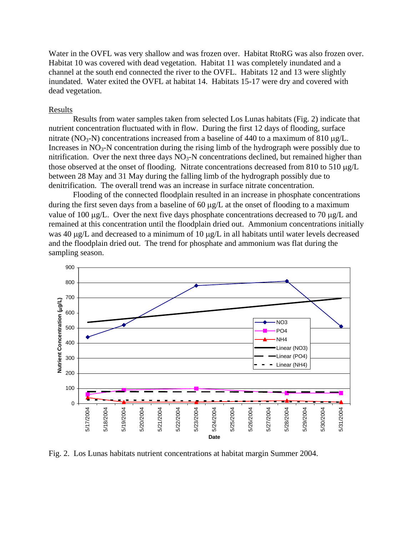Water in the OVFL was very shallow and was frozen over. Habitat RtoRG was also frozen over. Habitat 10 was covered with dead vegetation. Habitat 11 was completely inundated and a channel at the south end connected the river to the OVFL. Habitats 12 and 13 were slightly inundated. Water exited the OVFL at habitat 14. Habitats 15-17 were dry and covered with dead vegetation.

## Results

Results from water samples taken from selected Los Lunas habitats (Fig. 2) indicate that nutrient concentration fluctuated with in flow. During the first 12 days of flooding, surface nitrate (NO<sub>3</sub>-N) concentrations increased from a baseline of 440 to a maximum of 810  $\mu$ g/L. Increases in  $NO<sub>3</sub>-N$  concentration during the rising limb of the hydrograph were possibly due to nitrification. Over the next three days  $NO<sub>3</sub>-N$  concentrations declined, but remained higher than those observed at the onset of flooding. Nitrate concentrations decreased from 810 to 510 μg/L between 28 May and 31 May during the falling limb of the hydrograph possibly due to denitrification. The overall trend was an increase in surface nitrate concentration.

Flooding of the connected floodplain resulted in an increase in phosphate concentrations during the first seven days from a baseline of 60 μg/L at the onset of flooding to a maximum value of 100 μg/L. Over the next five days phosphate concentrations decreased to 70 μg/L and remained at this concentration until the floodplain dried out. Ammonium concentrations initially was 40 μg/L and decreased to a minimum of 10 μg/L in all habitats until water levels decreased and the floodplain dried out. The trend for phosphate and ammonium was flat during the sampling season.



Fig. 2. Los Lunas habitats nutrient concentrations at habitat margin Summer 2004.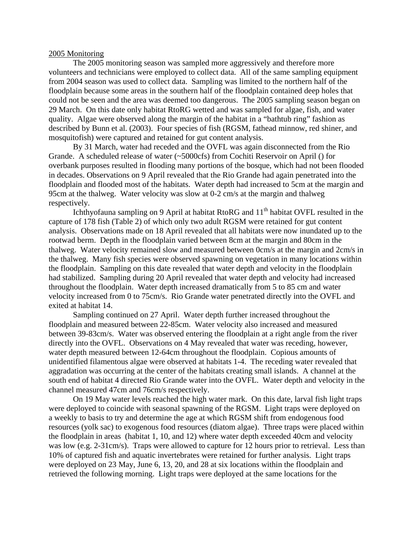### 2005 Monitoring

The 2005 monitoring season was sampled more aggressively and therefore more volunteers and technicians were employed to collect data. All of the same sampling equipment from 2004 season was used to collect data. Sampling was limited to the northern half of the floodplain because some areas in the southern half of the floodplain contained deep holes that could not be seen and the area was deemed too dangerous. The 2005 sampling season began on 29 March. On this date only habitat RtoRG wetted and was sampled for algae, fish, and water quality. Algae were observed along the margin of the habitat in a "bathtub ring" fashion as described by Bunn et al. (2003). Four species of fish (RGSM, fathead minnow, red shiner, and mosquitofish) were captured and retained for gut content analysis.

By 31 March, water had receded and the OVFL was again disconnected from the Rio Grande. A scheduled release of water (~5000cfs) from Cochiti Reservoir on April () for overbank purposes resulted in flooding many portions of the bosque, which had not been flooded in decades. Observations on 9 April revealed that the Rio Grande had again penetrated into the floodplain and flooded most of the habitats. Water depth had increased to 5cm at the margin and 95cm at the thalweg. Water velocity was slow at 0-2 cm/s at the margin and thalweg respectively.

Ichthyofauna sampling on 9 April at habitat RtoRG and 11<sup>th</sup> habitat OVFL resulted in the capture of 178 fish (Table 2) of which only two adult RGSM were retained for gut content analysis. Observations made on 18 April revealed that all habitats were now inundated up to the rootwad berm. Depth in the floodplain varied between 8cm at the margin and 80cm in the thalweg. Water velocity remained slow and measured between 0cm/s at the margin and 2cm/s in the thalweg. Many fish species were observed spawning on vegetation in many locations within the floodplain. Sampling on this date revealed that water depth and velocity in the floodplain had stabilized. Sampling during 20 April revealed that water depth and velocity had increased throughout the floodplain. Water depth increased dramatically from 5 to 85 cm and water velocity increased from 0 to 75cm/s. Rio Grande water penetrated directly into the OVFL and exited at habitat 14.

Sampling continued on 27 April. Water depth further increased throughout the floodplain and measured between 22-85cm. Water velocity also increased and measured between 39-83cm/s. Water was observed entering the floodplain at a right angle from the river directly into the OVFL. Observations on 4 May revealed that water was receding, however, water depth measured between 12-64cm throughout the floodplain. Copious amounts of unidentified filamentous algae were observed at habitats 1-4. The receding water revealed that aggradation was occurring at the center of the habitats creating small islands. A channel at the south end of habitat 4 directed Rio Grande water into the OVFL. Water depth and velocity in the channel measured 47cm and 76cm/s respectively.

On 19 May water levels reached the high water mark. On this date, larval fish light traps were deployed to coincide with seasonal spawning of the RGSM. Light traps were deployed on a weekly to basis to try and determine the age at which RGSM shift from endogenous food resources (yolk sac) to exogenous food resources (diatom algae). Three traps were placed within the floodplain in areas (habitat 1, 10, and 12) where water depth exceeded 40cm and velocity was low (e.g. 2-31cm/s). Traps were allowed to capture for 12 hours prior to retrieval. Less than 10% of captured fish and aquatic invertebrates were retained for further analysis. Light traps were deployed on 23 May, June 6, 13, 20, and 28 at six locations within the floodplain and retrieved the following morning. Light traps were deployed at the same locations for the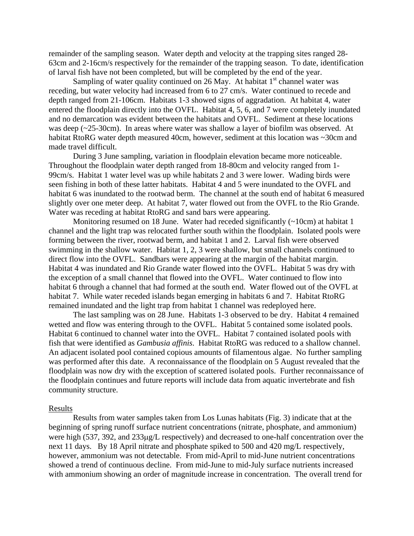remainder of the sampling season. Water depth and velocity at the trapping sites ranged 28- 63cm and 2-16cm/s respectively for the remainder of the trapping season. To date, identification of larval fish have not been completed, but will be completed by the end of the year.

Sampling of water quality continued on 26 May. At habitat  $1<sup>st</sup>$  channel water was receding, but water velocity had increased from 6 to 27 cm/s. Water continued to recede and depth ranged from 21-106cm. Habitats 1-3 showed signs of aggradation. At habitat 4, water entered the floodplain directly into the OVFL. Habitat 4, 5, 6, and 7 were completely inundated and no demarcation was evident between the habitats and OVFL. Sediment at these locations was deep (~25-30cm). In areas where water was shallow a layer of biofilm was observed. At habitat RtoRG water depth measured 40cm, however, sediment at this location was ~30cm and made travel difficult.

During 3 June sampling, variation in floodplain elevation became more noticeable. Throughout the floodplain water depth ranged from 18-80cm and velocity ranged from 1- 99cm/s. Habitat 1 water level was up while habitats 2 and 3 were lower. Wading birds were seen fishing in both of these latter habitats. Habitat 4 and 5 were inundated to the OVFL and habitat 6 was inundated to the rootwad berm. The channel at the south end of habitat 6 measured slightly over one meter deep. At habitat 7, water flowed out from the OVFL to the Rio Grande. Water was receding at habitat RtoRG and sand bars were appearing.

Monitoring resumed on 18 June. Water had receded significantly (~10cm) at habitat 1 channel and the light trap was relocated further south within the floodplain. Isolated pools were forming between the river, rootwad berm, and habitat 1 and 2. Larval fish were observed swimming in the shallow water. Habitat 1, 2, 3 were shallow, but small channels continued to direct flow into the OVFL. Sandbars were appearing at the margin of the habitat margin. Habitat 4 was inundated and Rio Grande water flowed into the OVFL. Habitat 5 was dry with the exception of a small channel that flowed into the OVFL. Water continued to flow into habitat 6 through a channel that had formed at the south end. Water flowed out of the OVFL at habitat 7. While water receded islands began emerging in habitats 6 and 7. Habitat RtoRG remained inundated and the light trap from habitat 1 channel was redeployed here.

The last sampling was on 28 June. Habitats 1-3 observed to be dry. Habitat 4 remained wetted and flow was entering through to the OVFL. Habitat 5 contained some isolated pools. Habitat 6 continued to channel water into the OVFL. Habitat 7 contained isolated pools with fish that were identified as *Gambusia affinis*. Habitat RtoRG was reduced to a shallow channel. An adjacent isolated pool contained copious amounts of filamentous algae. No further sampling was performed after this date. A reconnaissance of the floodplain on 5 August revealed that the floodplain was now dry with the exception of scattered isolated pools. Further reconnaissance of the floodplain continues and future reports will include data from aquatic invertebrate and fish community structure.

### Results

Results from water samples taken from Los Lunas habitats (Fig. 3) indicate that at the beginning of spring runoff surface nutrient concentrations (nitrate, phosphate, and ammonium) were high (537, 392, and 233μg/L respectively) and decreased to one-half concentration over the next 11 days. By 18 April nitrate and phosphate spiked to 500 and 420 mg/L respectively, however, ammonium was not detectable. From mid-April to mid-June nutrient concentrations showed a trend of continuous decline. From mid-June to mid-July surface nutrients increased with ammonium showing an order of magnitude increase in concentration. The overall trend for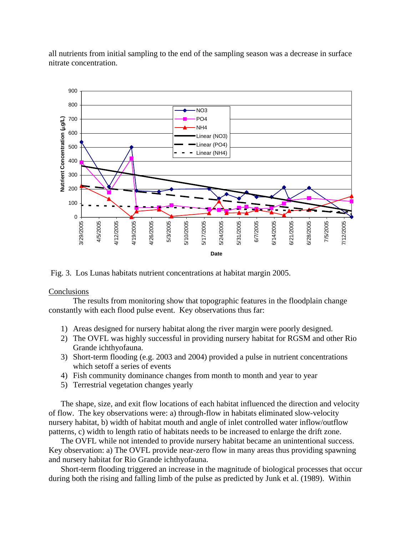all nutrients from initial sampling to the end of the sampling season was a decrease in surface nitrate concentration.



Fig. 3. Los Lunas habitats nutrient concentrations at habitat margin 2005.

# **Conclusions**

 The results from monitoring show that topographic features in the floodplain change constantly with each flood pulse event. Key observations thus far:

- 1) Areas designed for nursery habitat along the river margin were poorly designed.
- 2) The OVFL was highly successful in providing nursery habitat for RGSM and other Rio Grande ichthyofauna.
- 3) Short-term flooding (e.g. 2003 and 2004) provided a pulse in nutrient concentrations which setoff a series of events
- 4) Fish community dominance changes from month to month and year to year
- 5) Terrestrial vegetation changes yearly

The shape, size, and exit flow locations of each habitat influenced the direction and velocity of flow. The key observations were: a) through-flow in habitats eliminated slow-velocity nursery habitat, b) width of habitat mouth and angle of inlet controlled water inflow/outflow patterns, c) width to length ratio of habitats needs to be increased to enlarge the drift zone.

The OVFL while not intended to provide nursery habitat became an unintentional success. Key observation: a) The OVFL provide near-zero flow in many areas thus providing spawning and nursery habitat for Rio Grande ichthyofauna.

Short-term flooding triggered an increase in the magnitude of biological processes that occur during both the rising and falling limb of the pulse as predicted by Junk et al. (1989). Within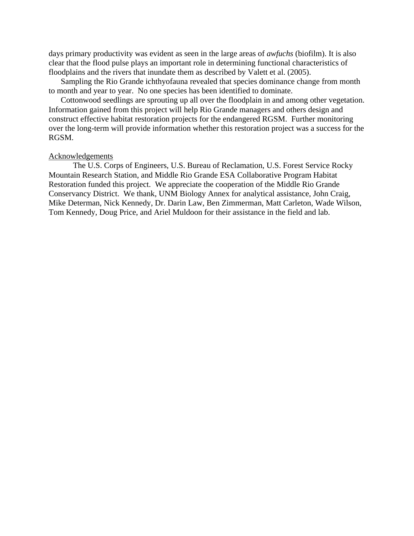days primary productivity was evident as seen in the large areas of *awfuchs* (biofilm). It is also clear that the flood pulse plays an important role in determining functional characteristics of floodplains and the rivers that inundate them as described by Valett et al. (2005).

Sampling the Rio Grande ichthyofauna revealed that species dominance change from month to month and year to year. No one species has been identified to dominate.

Cottonwood seedlings are sprouting up all over the floodplain in and among other vegetation. Information gained from this project will help Rio Grande managers and others design and construct effective habitat restoration projects for the endangered RGSM. Further monitoring over the long-term will provide information whether this restoration project was a success for the RGSM.

## Acknowledgements

The U.S. Corps of Engineers, U.S. Bureau of Reclamation, U.S. Forest Service Rocky Mountain Research Station, and Middle Rio Grande ESA Collaborative Program Habitat Restoration funded this project. We appreciate the cooperation of the Middle Rio Grande Conservancy District. We thank, UNM Biology Annex for analytical assistance, John Craig, Mike Determan, Nick Kennedy, Dr. Darin Law, Ben Zimmerman, Matt Carleton, Wade Wilson, Tom Kennedy, Doug Price, and Ariel Muldoon for their assistance in the field and lab.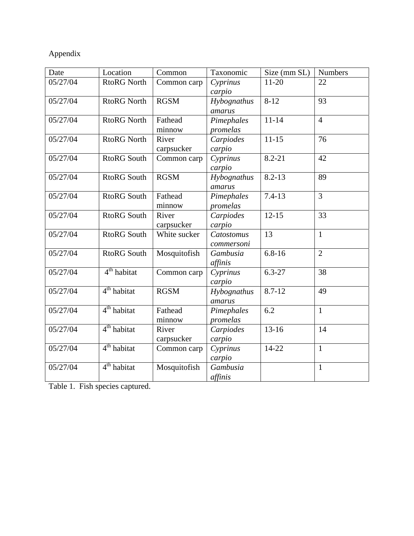# Appendix

| Date     | Location                | Common              | Taxonomic                       | Size (mm SL) | Numbers        |
|----------|-------------------------|---------------------|---------------------------------|--------------|----------------|
| 05/27/04 | <b>RtoRG North</b>      | Common carp         | $11 - 20$<br>Cyprinus<br>carpio |              | 22             |
| 05/27/04 | <b>RtoRG North</b>      | <b>RGSM</b>         | Hybognathus<br>amarus           | $8-12$<br>93 |                |
| 05/27/04 | <b>RtoRG North</b>      | Fathead<br>minnow   | Pimephales<br>promelas          | $11 - 14$    | $\overline{4}$ |
| 05/27/04 | <b>RtoRG North</b>      | River<br>carpsucker | Carpiodes<br>carpio             | $11 - 15$    | 76             |
| 05/27/04 | <b>RtoRG</b> South      | Common carp         | Cyprinus<br>carpio              | $8.2 - 21$   | 42             |
| 05/27/04 | <b>RtoRG South</b>      | <b>RGSM</b>         | Hybognathus<br>amarus           | $8.2 - 13$   | 89             |
| 05/27/04 | <b>RtoRG</b> South      | Fathead<br>minnow   | Pimephales<br>promelas          | $7.4 - 13$   | $\overline{3}$ |
| 05/27/04 | <b>RtoRG</b> South      | River<br>carpsucker | Carpiodes<br>carpio             | $12 - 15$    | 33             |
| 05/27/04 | <b>RtoRG</b> South      | White sucker        | Catostomus<br>commersoni        | 13           | $\mathbf{1}$   |
| 05/27/04 | <b>RtoRG South</b>      | Mosquitofish        | Gambusia<br>affinis             | $6.8 - 16$   | $\overline{2}$ |
| 05/27/04 | 4 <sup>th</sup> habitat | Common carp         | Cyprinus<br>carpio              | $6.3 - 27$   | 38             |
| 05/27/04 | 4 <sup>th</sup> habitat | <b>RGSM</b>         | Hybognathus<br>amarus           | $8.7 - 12$   | 49             |
| 05/27/04 | 4 <sup>th</sup> habitat | Fathead<br>minnow   | Pimephales<br>promelas          | 6.2          | $\mathbf{1}$   |
| 05/27/04 | 4 <sup>th</sup> habitat | River<br>carpsucker | Carpiodes<br>carpio             | $13 - 16$    | 14             |
| 05/27/04 | 4 <sup>th</sup> habitat | Common carp         | Cyprinus<br>carpio              | 14-22        | $\mathbf{1}$   |
| 05/27/04 | 4 <sup>th</sup> habitat | Mosquitofish        | Gambusia<br>affinis             |              | $\mathbf{1}$   |

Table 1. Fish species captured.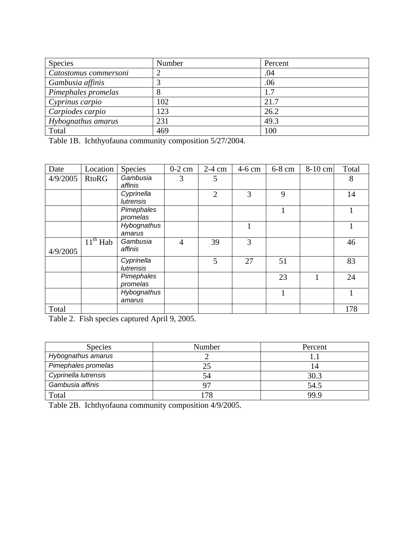| Species               | Number | Percent |
|-----------------------|--------|---------|
| Catostomus commersoni |        | .04     |
| Gambusia affinis      |        | .06     |
| Pimephales promelas   | ∧      | 1.7     |
| Cyprinus carpio       | 102    | 21.7    |
| Carpiodes carpio      | 123    | 26.2    |
| Hybognathus amarus    | 231    | 49.3    |
| Total                 | 469    | 100     |

Table 1B. Ichthyofauna community composition 5/27/2004.

| Date     | Location     | Species                        | $0-2$ cm       | $2-4$ cm       | 4-6 cm | 6-8 cm | 8-10 cm | Total |
|----------|--------------|--------------------------------|----------------|----------------|--------|--------|---------|-------|
| 4/9/2005 | <b>RtoRG</b> | Gambusia<br>affinis            | 3              | 5              |        |        |         | 8     |
|          |              | Cyprinella<br>lutrensis        |                | $\overline{2}$ | 3      | 9      |         | 14    |
|          |              | Pimephales<br>promelas         |                |                |        |        |         |       |
|          |              | Hybognathus<br>amarus          |                |                |        |        |         |       |
| 4/9/2005 | $11th$ Hab   | Gambusia<br>affinis            | $\overline{4}$ | 39             | 3      |        |         | 46    |
|          |              | Cyprinella<br><b>lutrensis</b> |                | 5              | 27     | 51     |         | 83    |
|          |              | Pimephales<br>promelas         |                |                |        | 23     |         | 24    |
|          |              | Hybognathus<br>amarus          |                |                |        |        |         |       |
| Total    |              |                                |                |                |        |        |         | 178   |

Table 2. Fish species captured April 9, 2005.

| <b>Species</b>       | Number | Percent        |
|----------------------|--------|----------------|
| Hybognathus amarus   |        |                |
| Pimephales promelas  |        | $\overline{4}$ |
| Cyprinella lutrensis | 54     | 30.3           |
| Gambusia affinis     |        | 54.5           |
| Total                | 78     | 99.9           |

Table 2B. Ichthyofauna community composition 4/9/2005.